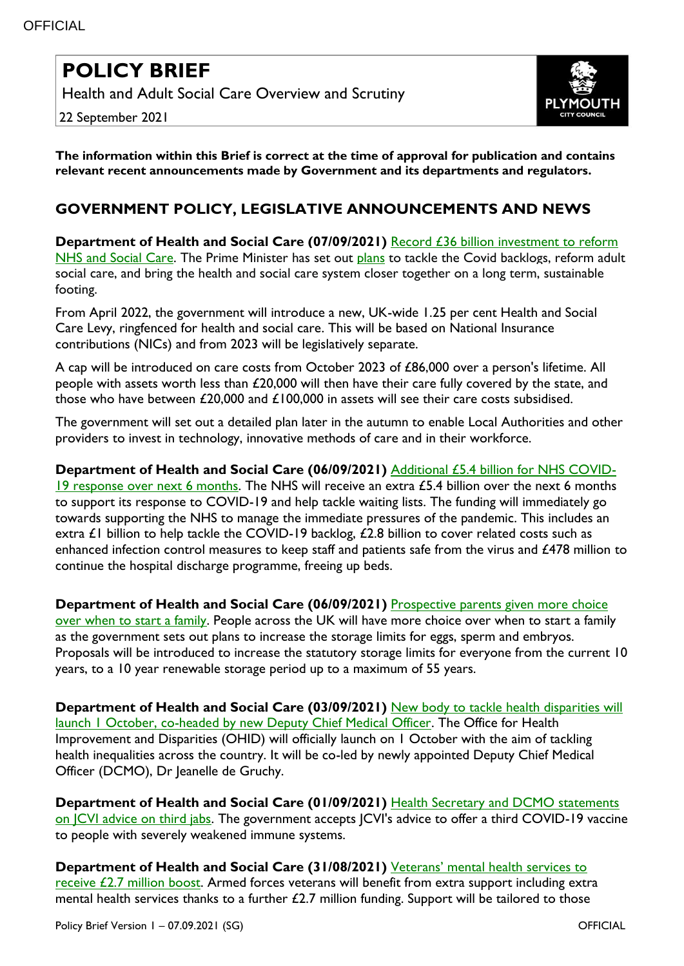## **POLICY BRIEF**

Health and Adult Social Care Overview and Scrutiny

22 September 2021



**The information within this Brief is correct at the time of approval for publication and contains relevant recent announcements made by Government and its departments and regulators.**

## **GOVERNMENT POLICY, LEGISLATIVE ANNOUNCEMENTS AND NEWS**

**Department of Health and Social Care (07/09/2021)** [Record £36 billion investment to reform](https://www.gov.uk/government/news/record-36-billion-investment-to-reform-nhs-and-social-care?utm_medium=email&utm_campaign=govuk-notifications&utm_source=6c6284a9-7bfa-4690-98cc-c9e3397107f1&utm_content=immediately)  [NHS and Social Care.](https://www.gov.uk/government/news/record-36-billion-investment-to-reform-nhs-and-social-care?utm_medium=email&utm_campaign=govuk-notifications&utm_source=6c6284a9-7bfa-4690-98cc-c9e3397107f1&utm_content=immediately) The Prime Minister has set out [plans](https://www.gov.uk/government/publications/build-back-better-our-plan-for-health-and-social-care) to tackle the Covid backlogs, reform adult social care, and bring the health and social care system closer together on a long term, sustainable footing.

From April 2022, the government will introduce a new, UK-wide 1.25 per cent Health and Social Care Levy, ringfenced for health and social care. This will be based on National Insurance contributions (NICs) and from 2023 will be legislatively separate.

A cap will be introduced on care costs from October 2023 of £86,000 over a person's lifetime. All people with assets worth less than £20,000 will then have their care fully covered by the state, and those who have between £20,000 and £100,000 in assets will see their care costs subsidised.

The government will set out a detailed plan later in the autumn to enable Local Authorities and other providers to invest in technology, innovative methods of care and in their workforce.

## **Department of Health and Social Care (06/09/2021)** [Additional £5.4 billion for NHS COVID-](https://www.gov.uk/government/news/additional-54-billion-for-nhs-covid-19-response-over-next-six-months?utm_medium=email&utm_campaign=govuk-notifications&utm_source=159d4948-65fa-4a10-b9b4-4321ec0f3b1a&utm_content=immediately)

[19 response over next 6 months.](https://www.gov.uk/government/news/additional-54-billion-for-nhs-covid-19-response-over-next-six-months?utm_medium=email&utm_campaign=govuk-notifications&utm_source=159d4948-65fa-4a10-b9b4-4321ec0f3b1a&utm_content=immediately) The NHS will receive an extra  $£5.4$  billion over the next 6 months to support its response to COVID-19 and help tackle waiting lists. The funding will immediately go towards supporting the NHS to manage the immediate pressures of the pandemic. This includes an extra £1 billion to help tackle the COVID-19 backlog, £2.8 billion to cover related costs such as enhanced infection control measures to keep staff and patients safe from the virus and £478 million to continue the hospital discharge programme, freeing up beds.

**Department of Health and Social Care (06/09/2021)** [Prospective parents given more choice](https://www.gov.uk/government/news/prospective-parents-given-more-choice-over-when-to-start-a-family?utm_medium=email&utm_campaign=govuk-notifications&utm_source=2893b96e-4491-4cca-9899-5ffba14b52f7&utm_content=immediately)  [over when to start a family.](https://www.gov.uk/government/news/prospective-parents-given-more-choice-over-when-to-start-a-family?utm_medium=email&utm_campaign=govuk-notifications&utm_source=2893b96e-4491-4cca-9899-5ffba14b52f7&utm_content=immediately) People across the UK will have more choice over when to start a family as the government sets out plans to increase the storage limits for eggs, sperm and embryos. Proposals will be introduced to increase the statutory storage limits for everyone from the current 10 years, to a 10 year renewable storage period up to a maximum of 55 years.

**Department of Health and Social Care (03/09/2021)** [New body to tackle health disparities will](https://www.gov.uk/government/news/new-body-to-tackle-health-disparities-will-launch-1-october-co-headed-by-new-dcmo--2?utm_medium=email&utm_campaign=govuk-notifications&utm_source=6f98b380-c5dd-4f75-97d5-7f151fb65688&utm_content=immediately)  [launch 1 October, co-headed by new Deputy Chief Medical Officer.](https://www.gov.uk/government/news/new-body-to-tackle-health-disparities-will-launch-1-october-co-headed-by-new-dcmo--2?utm_medium=email&utm_campaign=govuk-notifications&utm_source=6f98b380-c5dd-4f75-97d5-7f151fb65688&utm_content=immediately) The Office for Health Improvement and Disparities (OHID) will officially launch on 1 October with the aim of tackling health inequalities across the country. It will be co-led by newly appointed Deputy Chief Medical Officer (DCMO), Dr Jeanelle de Gruchy.

**Department of Health and Social Care (01/09/2021)** [Health Secretary and DCMO statements](https://www.gov.uk/government/news/health-secretary-and-dcmo-statements-on-jcvi-advice-on-third-jabs?utm_medium=email&utm_campaign=govuk-notifications&utm_source=6ebf7805-951c-4315-8965-14251ff0bf22&utm_content=immediately)  [on JCVI advice on third jabs.](https://www.gov.uk/government/news/health-secretary-and-dcmo-statements-on-jcvi-advice-on-third-jabs?utm_medium=email&utm_campaign=govuk-notifications&utm_source=6ebf7805-951c-4315-8965-14251ff0bf22&utm_content=immediately) The government accepts JCVI's advice to offer a third COVID-19 vaccine to people with severely weakened immune systems.

**Department of Health and Social Care (31/08/2021)** [Veterans' mental health services to](https://www.gov.uk/government/news/veterans-mental-health-services-to-receive-27-million-boost)  [receive £2.7 million boost.](https://www.gov.uk/government/news/veterans-mental-health-services-to-receive-27-million-boost) Armed forces veterans will benefit from extra support including extra mental health services thanks to a further £2.7 million funding. Support will be tailored to those